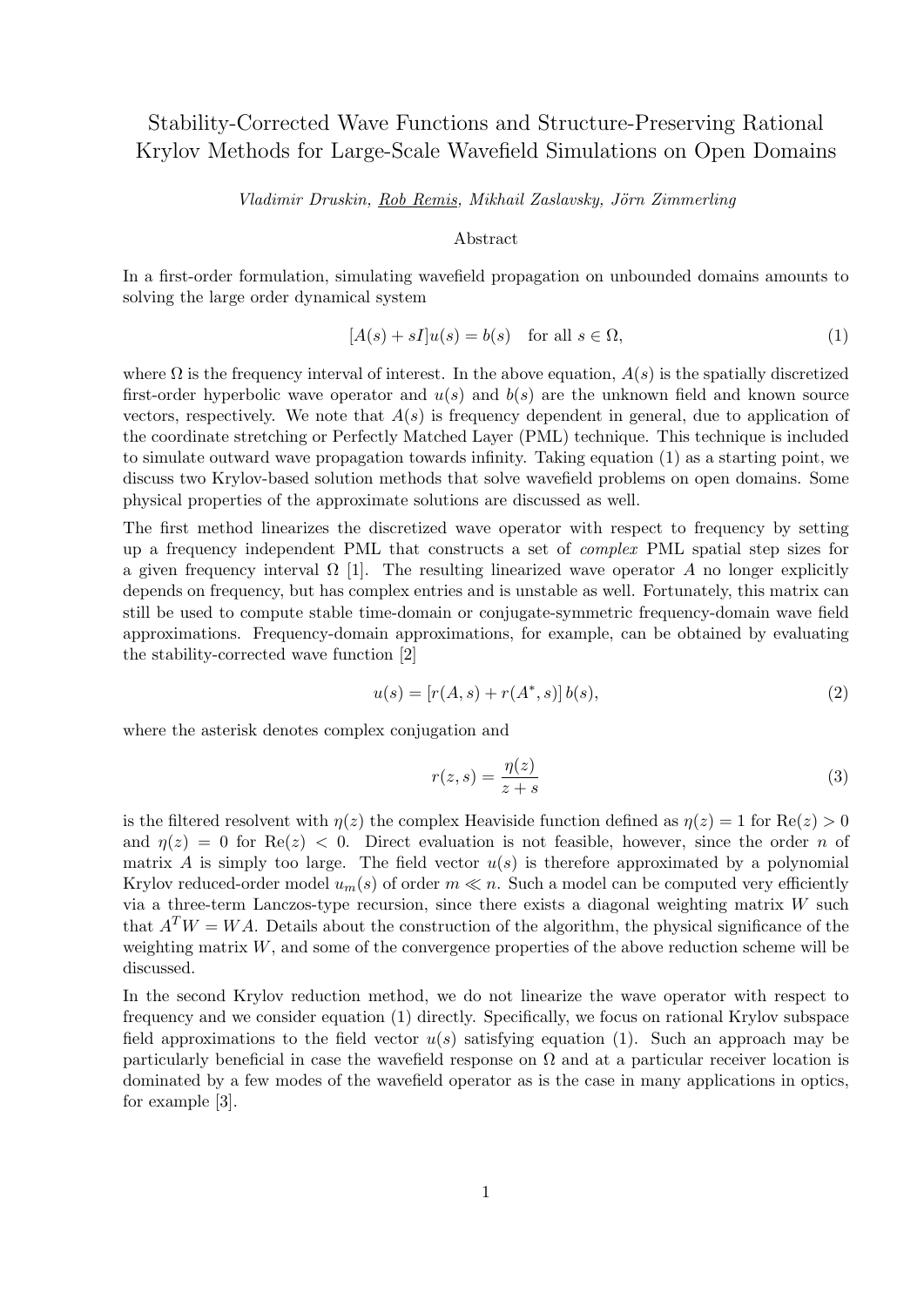## Stability-Corrected Wave Functions and Structure-Preserving Rational Krylov Methods for Large-Scale Wavefield Simulations on Open Domains

Vladimir Druskin, Rob Remis, Mikhail Zaslavsky, Jörn Zimmerling

## Abstract

In a first-order formulation, simulating wavefield propagation on unbounded domains amounts to solving the large order dynamical system

$$
[A(s) + sI]u(s) = b(s) \quad \text{for all } s \in \Omega,
$$
\n<sup>(1)</sup>

where  $\Omega$  is the frequency interval of interest. In the above equation,  $A(s)$  is the spatially discretized first-order hyperbolic wave operator and  $u(s)$  and  $b(s)$  are the unknown field and known source vectors, respectively. We note that  $A(s)$  is frequency dependent in general, due to application of the coordinate stretching or Perfectly Matched Layer (PML) technique. This technique is included to simulate outward wave propagation towards infinity. Taking equation (1) as a starting point, we discuss two Krylov-based solution methods that solve wavefield problems on open domains. Some physical properties of the approximate solutions are discussed as well.

The first method linearizes the discretized wave operator with respect to frequency by setting up a frequency independent PML that constructs a set of complex PML spatial step sizes for a given frequency interval  $\Omega$  [1]. The resulting linearized wave operator A no longer explicitly depends on frequency, but has complex entries and is unstable as well. Fortunately, this matrix can still be used to compute stable time-domain or conjugate-symmetric frequency-domain wave field approximations. Frequency-domain approximations, for example, can be obtained by evaluating the stability-corrected wave function [2]

$$
u(s) = [r(A, s) + r(A^*, s)] b(s), \tag{2}
$$

where the asterisk denotes complex conjugation and

$$
r(z,s) = \frac{\eta(z)}{z+s} \tag{3}
$$

is the filtered resolvent with  $\eta(z)$  the complex Heaviside function defined as  $\eta(z) = 1$  for  $\text{Re}(z) > 0$ and  $\eta(z) = 0$  for  $\text{Re}(z) < 0$ . Direct evaluation is not feasible, however, since the order n of matrix A is simply too large. The field vector  $u(s)$  is therefore approximated by a polynomial Krylov reduced-order model  $u_m(s)$  of order  $m \ll n$ . Such a model can be computed very efficiently via a three-term Lanczos-type recursion, since there exists a diagonal weighting matrix  $W$  such that  $A^T W = W A$ . Details about the construction of the algorithm, the physical significance of the weighting matrix  $W$ , and some of the convergence properties of the above reduction scheme will be discussed.

In the second Krylov reduction method, we do not linearize the wave operator with respect to frequency and we consider equation (1) directly. Specifically, we focus on rational Krylov subspace field approximations to the field vector  $u(s)$  satisfying equation (1). Such an approach may be particularly beneficial in case the wavefield response on  $\Omega$  and at a particular receiver location is dominated by a few modes of the wavefield operator as is the case in many applications in optics, for example [3].